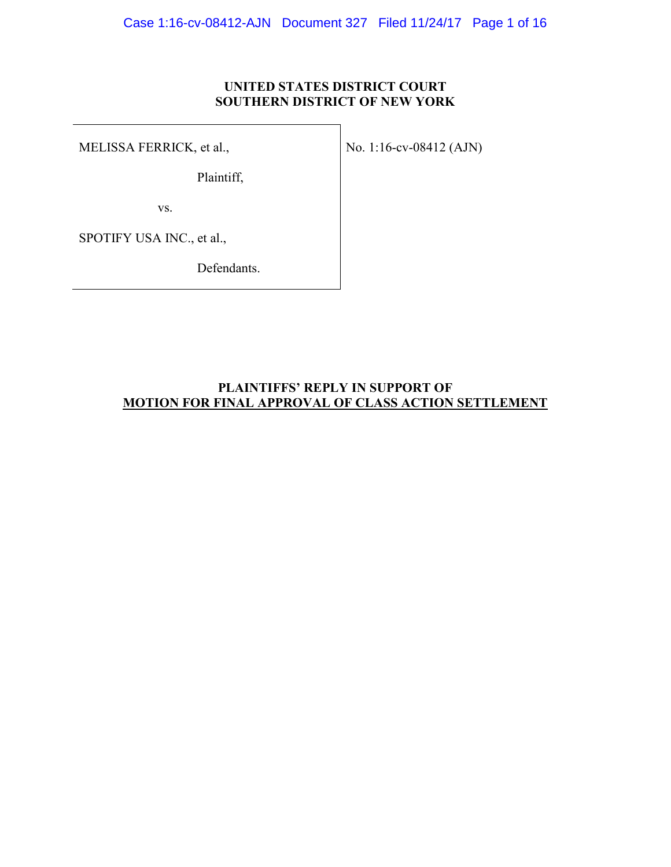### **UNITED STATES DISTRICT COURT SOUTHERN DISTRICT OF NEW YORK**

MELISSA FERRICK, et al.,

Plaintiff,

No. 1:16-cv-08412 (AJN)

vs.

SPOTIFY USA INC., et al.,

Defendants.

### **PLAINTIFFS' REPLY IN SUPPORT OF MOTION FOR FINAL APPROVAL OF CLASS ACTION SETTLEMENT**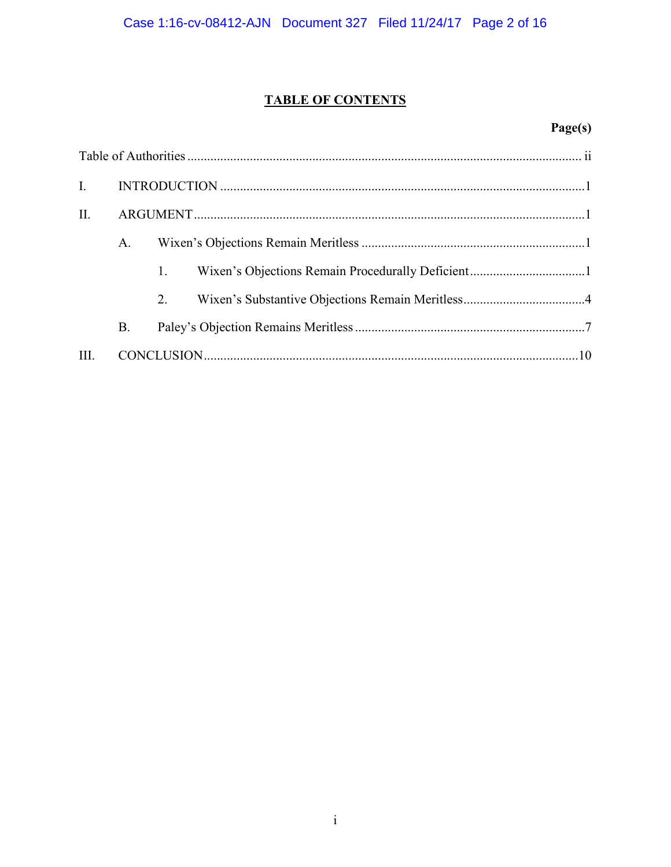# **TABLE OF CONTENTS**

# Page(s)

| $I_{\cdot}$ |           |    |  |  |
|-------------|-----------|----|--|--|
| II.         |           |    |  |  |
|             | А.        |    |  |  |
|             |           | 1. |  |  |
|             |           | 2. |  |  |
|             | <b>B.</b> |    |  |  |
| III.        |           |    |  |  |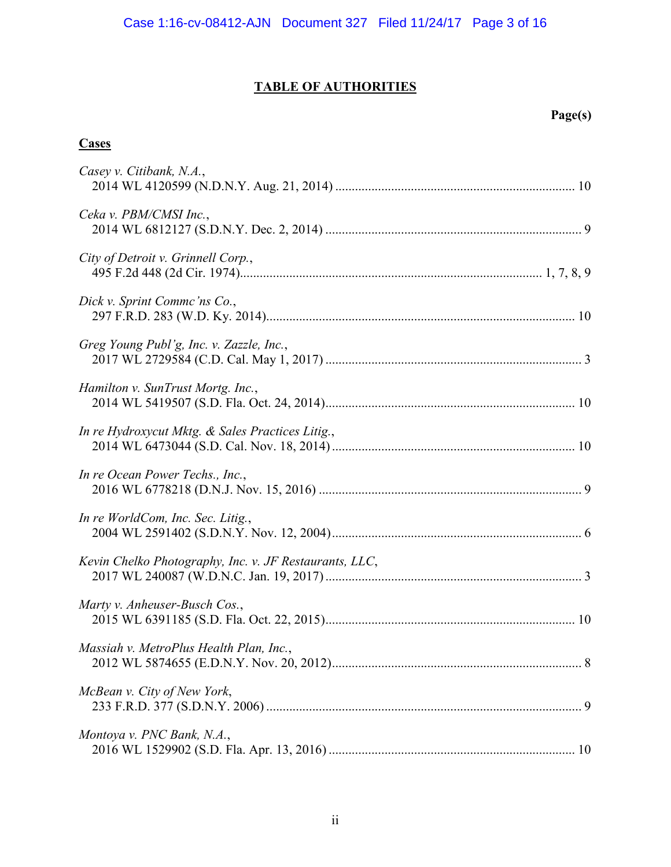# **TABLE OF AUTHORITIES**

# **Page(s)**

### **Cases**

| Casey v. Citibank, N.A.,                               |
|--------------------------------------------------------|
| Ceka v. PBM/CMSI Inc.,                                 |
| City of Detroit v. Grinnell Corp.,                     |
| Dick v. Sprint Comme'ns Co.,                           |
| Greg Young Publ'g, Inc. v. Zazzle, Inc.,               |
| Hamilton v. SunTrust Mortg. Inc.,                      |
| In re Hydroxycut Mktg. & Sales Practices Litig.,       |
| In re Ocean Power Techs., Inc.,                        |
| In re WorldCom, Inc. Sec. Litig.,                      |
| Kevin Chelko Photography, Inc. v. JF Restaurants, LLC, |
| Marty v. Anheuser-Busch Cos.,                          |
| Massiah v. MetroPlus Health Plan, Inc.                 |
| McBean v. City of New York,                            |
| Montoya v. PNC Bank, N.A.,                             |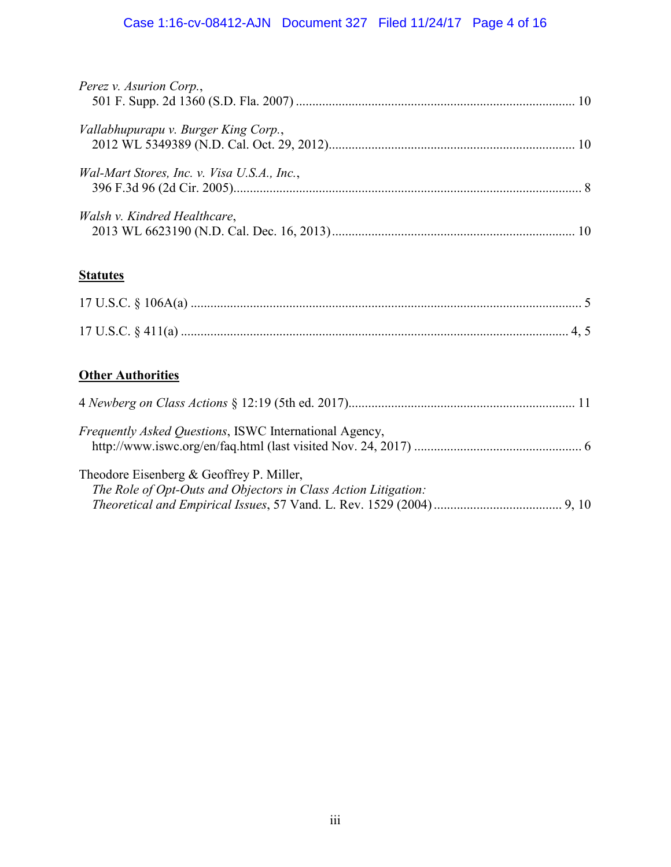# Case 1:16-cv-08412-AJN Document 327 Filed 11/24/17 Page 4 of 16

| Perez v. Asurion Corp.,                     |  |
|---------------------------------------------|--|
| Vallabhupurapu v. Burger King Corp.,        |  |
| Wal-Mart Stores, Inc. v. Visa U.S.A., Inc., |  |
| Walsh v. Kindred Healthcare,                |  |
|                                             |  |

# **Statutes**

# **Other Authorities**

| <i>Frequently Asked Questions, ISWC International Agency,</i>                                                 |  |
|---------------------------------------------------------------------------------------------------------------|--|
| Theodore Eisenberg $\&$ Geoffrey P. Miller,<br>The Role of Opt-Outs and Objectors in Class Action Litigation: |  |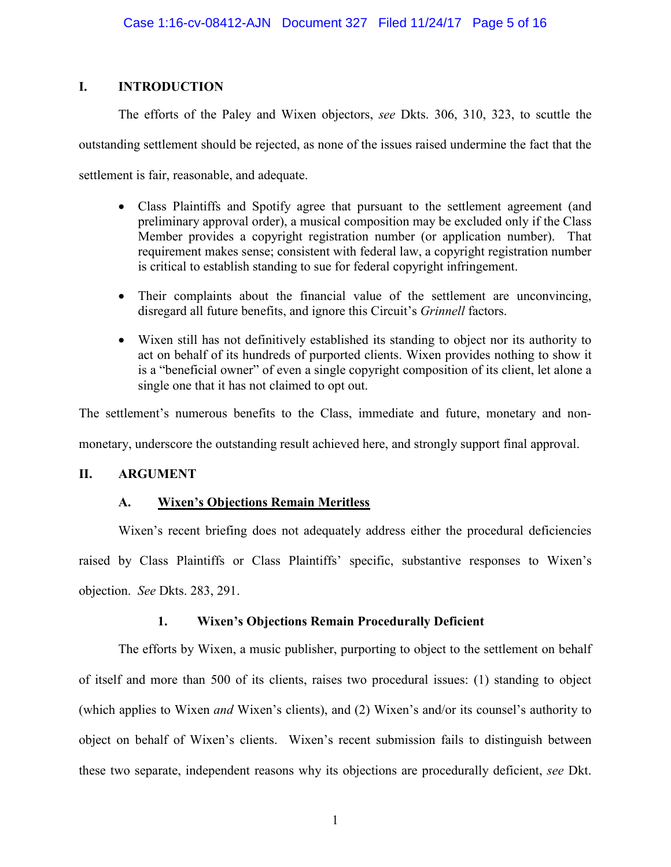### **I. INTRODUCTION**

The efforts of the Paley and Wixen objectors, *see* Dkts. 306, 310, 323, to scuttle the outstanding settlement should be rejected, as none of the issues raised undermine the fact that the settlement is fair, reasonable, and adequate.

- Class Plaintiffs and Spotify agree that pursuant to the settlement agreement (and preliminary approval order), a musical composition may be excluded only if the Class Member provides a copyright registration number (or application number). That requirement makes sense; consistent with federal law, a copyright registration number is critical to establish standing to sue for federal copyright infringement.
- Their complaints about the financial value of the settlement are unconvincing, disregard all future benefits, and ignore this Circuit's *Grinnell* factors.
- Wixen still has not definitively established its standing to object nor its authority to act on behalf of its hundreds of purported clients. Wixen provides nothing to show it is a "beneficial owner" of even a single copyright composition of its client, let alone a single one that it has not claimed to opt out.

The settlement's numerous benefits to the Class, immediate and future, monetary and nonmonetary, underscore the outstanding result achieved here, and strongly support final approval.

## **II. ARGUMENT**

## **A. Wixen's Objections Remain Meritless**

Wixen's recent briefing does not adequately address either the procedural deficiencies raised by Class Plaintiffs or Class Plaintiffs' specific, substantive responses to Wixen's objection. *See* Dkts. 283, 291.

## **1. Wixen's Objections Remain Procedurally Deficient**

The efforts by Wixen, a music publisher, purporting to object to the settlement on behalf of itself and more than 500 of its clients, raises two procedural issues: (1) standing to object (which applies to Wixen *and* Wixen's clients), and (2) Wixen's and/or its counsel's authority to object on behalf of Wixen's clients. Wixen's recent submission fails to distinguish between these two separate, independent reasons why its objections are procedurally deficient, *see* Dkt.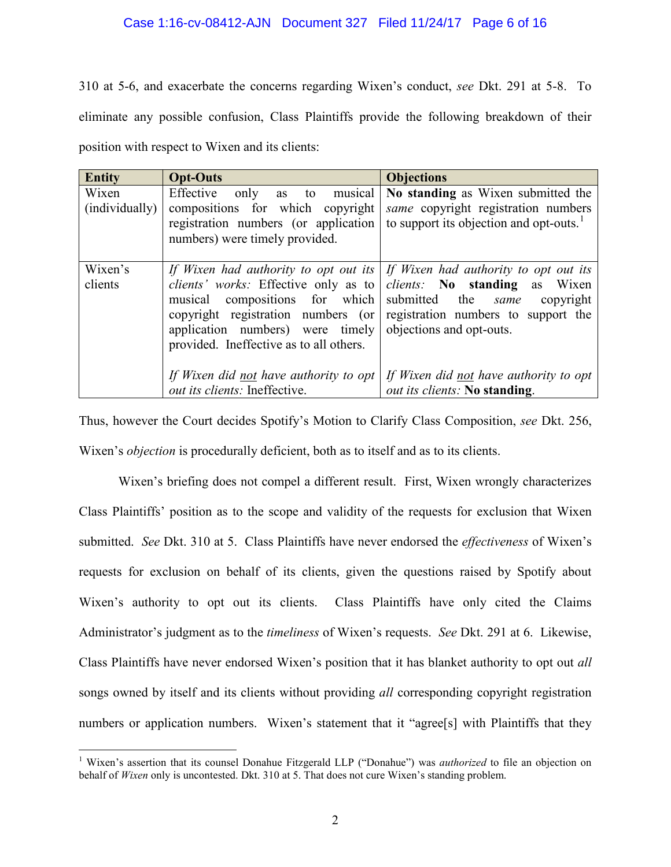### Case 1:16-cv-08412-AJN Document 327 Filed 11/24/17 Page 6 of 16

310 at 5-6, and exacerbate the concerns regarding Wixen's conduct, *see* Dkt. 291 at 5-8. To eliminate any possible confusion, Class Plaintiffs provide the following breakdown of their position with respect to Wixen and its clients:

| <b>Entity</b>           | <b>Opt-Outs</b>                                                                                                                                     | <b>Objections</b>                                                                                                                                                                                                                                                        |
|-------------------------|-----------------------------------------------------------------------------------------------------------------------------------------------------|--------------------------------------------------------------------------------------------------------------------------------------------------------------------------------------------------------------------------------------------------------------------------|
| Wixen<br>(individually) | Effective<br>as to musical<br>only<br>compositions for which copyright<br>registration numbers (or application<br>numbers) were timely provided.    | No standing as Wixen submitted the<br><i>same</i> copyright registration numbers<br>to support its objection and opt-outs.                                                                                                                                               |
| Wixen's<br>clients      | musical compositions for which<br>copyright registration numbers (or<br>application numbers) were timely<br>provided. Ineffective as to all others. | If Wixen had authority to opt out its   If Wixen had authority to opt out its<br>clients' works: Effective only as to <i>clients</i> : No standing as Wixen<br>submitted the <i>same</i><br>copyright<br>registration numbers to support the<br>objections and opt-outs. |
|                         | If Wixen did not have authority to opt<br><i>out its clients:</i> Ineffective.                                                                      | If Wixen did not have authority to opt<br>out its clients: No standing.                                                                                                                                                                                                  |

Thus, however the Court decides Spotify's Motion to Clarify Class Composition, *see* Dkt. 256, Wixen's *objection* is procedurally deficient, both as to itself and as to its clients.

Wixen's briefing does not compel a different result. First, Wixen wrongly characterizes Class Plaintiffs' position as to the scope and validity of the requests for exclusion that Wixen submitted. *See* Dkt. 310 at 5. Class Plaintiffs have never endorsed the *effectiveness* of Wixen's requests for exclusion on behalf of its clients, given the questions raised by Spotify about Wixen's authority to opt out its clients. Class Plaintiffs have only cited the Claims Administrator's judgment as to the *timeliness* of Wixen's requests. *See* Dkt. 291 at 6. Likewise, Class Plaintiffs have never endorsed Wixen's position that it has blanket authority to opt out *all*  songs owned by itself and its clients without providing *all* corresponding copyright registration numbers or application numbers. Wixen's statement that it "agree[s] with Plaintiffs that they

<span id="page-5-0"></span> $\overline{a}$ <sup>1</sup> Wixen's assertion that its counsel Donahue Fitzgerald LLP ("Donahue") was *authorized* to file an objection on behalf of *Wixen* only is uncontested. Dkt. 310 at 5. That does not cure Wixen's standing problem.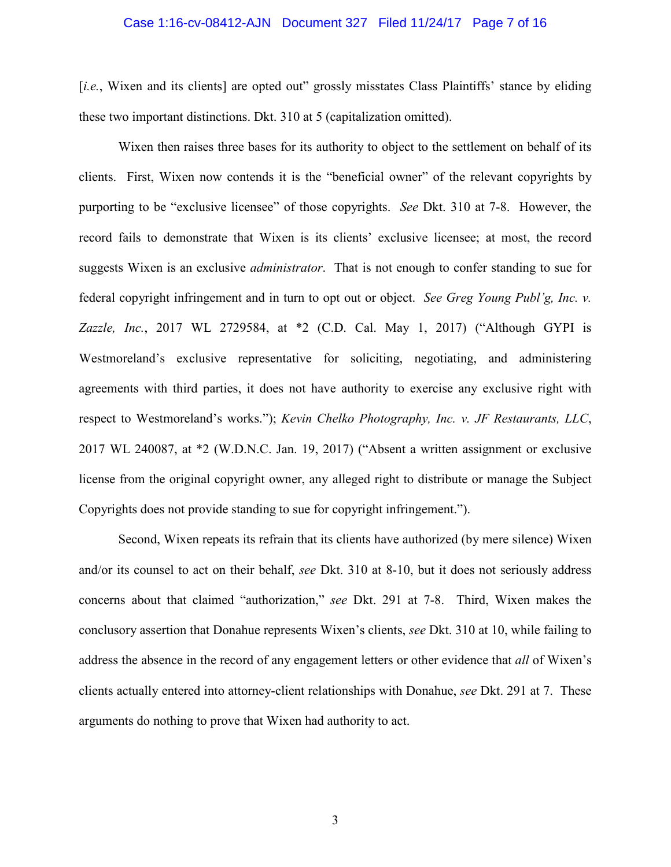#### Case 1:16-cv-08412-AJN Document 327 Filed 11/24/17 Page 7 of 16

[*i.e.*, Wixen and its clients] are opted out" grossly misstates Class Plaintiffs' stance by eliding these two important distinctions. Dkt. 310 at 5 (capitalization omitted).

Wixen then raises three bases for its authority to object to the settlement on behalf of its clients. First, Wixen now contends it is the "beneficial owner" of the relevant copyrights by purporting to be "exclusive licensee" of those copyrights. *See* Dkt. 310 at 7-8. However, the record fails to demonstrate that Wixen is its clients' exclusive licensee; at most, the record suggests Wixen is an exclusive *administrator*. That is not enough to confer standing to sue for federal copyright infringement and in turn to opt out or object. *See Greg Young Publ'g, Inc. v. Zazzle, Inc.*, 2017 WL 2729584, at \*2 (C.D. Cal. May 1, 2017) ("Although GYPI is Westmoreland's exclusive representative for soliciting, negotiating, and administering agreements with third parties, it does not have authority to exercise any exclusive right with respect to Westmoreland's works."); *Kevin Chelko Photography, Inc. v. JF Restaurants, LLC*, 2017 WL 240087, at \*2 (W.D.N.C. Jan. 19, 2017) ("Absent a written assignment or exclusive license from the original copyright owner, any alleged right to distribute or manage the Subject Copyrights does not provide standing to sue for copyright infringement.").

Second, Wixen repeats its refrain that its clients have authorized (by mere silence) Wixen and/or its counsel to act on their behalf, *see* Dkt. 310 at 8-10, but it does not seriously address concerns about that claimed "authorization," *see* Dkt. 291 at 7-8. Third, Wixen makes the conclusory assertion that Donahue represents Wixen's clients, *see* Dkt. 310 at 10, while failing to address the absence in the record of any engagement letters or other evidence that *all* of Wixen's clients actually entered into attorney-client relationships with Donahue, *see* Dkt. 291 at 7. These arguments do nothing to prove that Wixen had authority to act.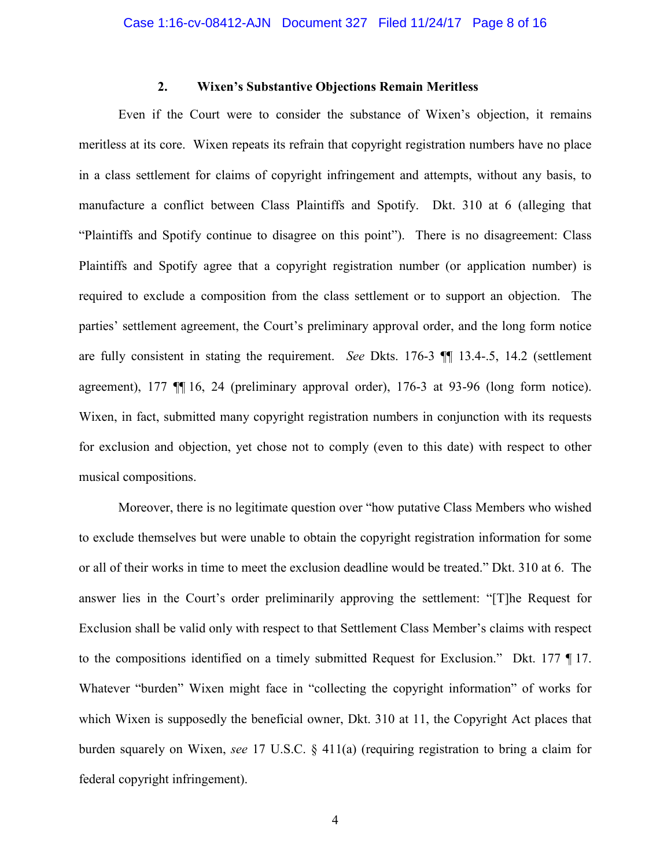### **2. Wixen's Substantive Objections Remain Meritless**

Even if the Court were to consider the substance of Wixen's objection, it remains meritless at its core. Wixen repeats its refrain that copyright registration numbers have no place in a class settlement for claims of copyright infringement and attempts, without any basis, to manufacture a conflict between Class Plaintiffs and Spotify. Dkt. 310 at 6 (alleging that "Plaintiffs and Spotify continue to disagree on this point"). There is no disagreement: Class Plaintiffs and Spotify agree that a copyright registration number (or application number) is required to exclude a composition from the class settlement or to support an objection. The parties' settlement agreement, the Court's preliminary approval order, and the long form notice are fully consistent in stating the requirement. *See* Dkts. 176-3 ¶¶ 13.4-.5, 14.2 (settlement agreement), 177 ¶¶ 16, 24 (preliminary approval order), 176-3 at 93-96 (long form notice). Wixen, in fact, submitted many copyright registration numbers in conjunction with its requests for exclusion and objection, yet chose not to comply (even to this date) with respect to other musical compositions.

Moreover, there is no legitimate question over "how putative Class Members who wished to exclude themselves but were unable to obtain the copyright registration information for some or all of their works in time to meet the exclusion deadline would be treated." Dkt. 310 at 6. The answer lies in the Court's order preliminarily approving the settlement: "[T]he Request for Exclusion shall be valid only with respect to that Settlement Class Member's claims with respect to the compositions identified on a timely submitted Request for Exclusion." Dkt. 177 ¶ 17. Whatever "burden" Wixen might face in "collecting the copyright information" of works for which Wixen is supposedly the beneficial owner, Dkt. 310 at 11, the Copyright Act places that burden squarely on Wixen, *see* 17 U.S.C. § 411(a) (requiring registration to bring a claim for federal copyright infringement).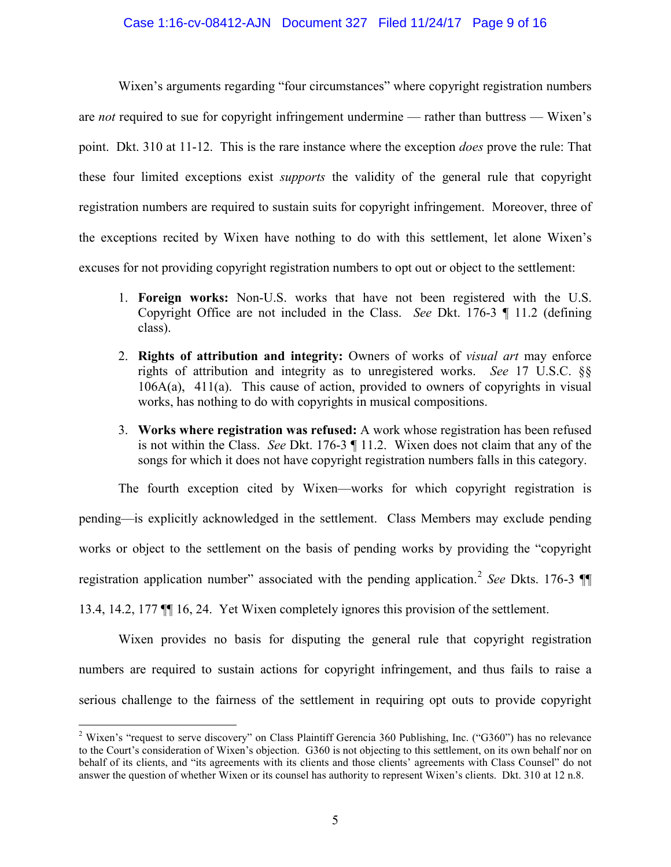### Case 1:16-cv-08412-AJN Document 327 Filed 11/24/17 Page 9 of 16

Wixen's arguments regarding "four circumstances" where copyright registration numbers are *not* required to sue for copyright infringement undermine — rather than buttress — Wixen's point. Dkt. 310 at 11-12. This is the rare instance where the exception *does* prove the rule: That these four limited exceptions exist *supports* the validity of the general rule that copyright registration numbers are required to sustain suits for copyright infringement. Moreover, three of the exceptions recited by Wixen have nothing to do with this settlement, let alone Wixen's excuses for not providing copyright registration numbers to opt out or object to the settlement:

- 1. **Foreign works:** Non-U.S. works that have not been registered with the U.S. Copyright Office are not included in the Class. *See* Dkt. 176-3 ¶ 11.2 (defining class).
- 2. **Rights of attribution and integrity:** Owners of works of *visual art* may enforce rights of attribution and integrity as to unregistered works. *See* 17 U.S.C. §§ 106A(a), 411(a). This cause of action, provided to owners of copyrights in visual works, has nothing to do with copyrights in musical compositions.
- 3. **Works where registration was refused:** A work whose registration has been refused is not within the Class. *See* Dkt. 176-3 ¶ 11.2. Wixen does not claim that any of the songs for which it does not have copyright registration numbers falls in this category.

The fourth exception cited by Wixen—works for which copyright registration is pending—is explicitly acknowledged in the settlement. Class Members may exclude pending works or object to the settlement on the basis of pending works by providing the "copyright registration application number" associated with the pending application.<sup>[2](#page-8-0)</sup> *See* Dkts. 176-3 13.4, 14.2, 177 ¶¶ 16, 24. Yet Wixen completely ignores this provision of the settlement.

Wixen provides no basis for disputing the general rule that copyright registration numbers are required to sustain actions for copyright infringement, and thus fails to raise a serious challenge to the fairness of the settlement in requiring opt outs to provide copyright

<span id="page-8-0"></span><sup>&</sup>lt;sup>2</sup> Wixen's "request to serve discovery" on Class Plaintiff Gerencia 360 Publishing, Inc. ("G360") has no relevance to the Court's consideration of Wixen's objection. G360 is not objecting to this settlement, on its own behalf nor on behalf of its clients, and "its agreements with its clients and those clients' agreements with Class Counsel" do not answer the question of whether Wixen or its counsel has authority to represent Wixen's clients. Dkt. 310 at 12 n.8.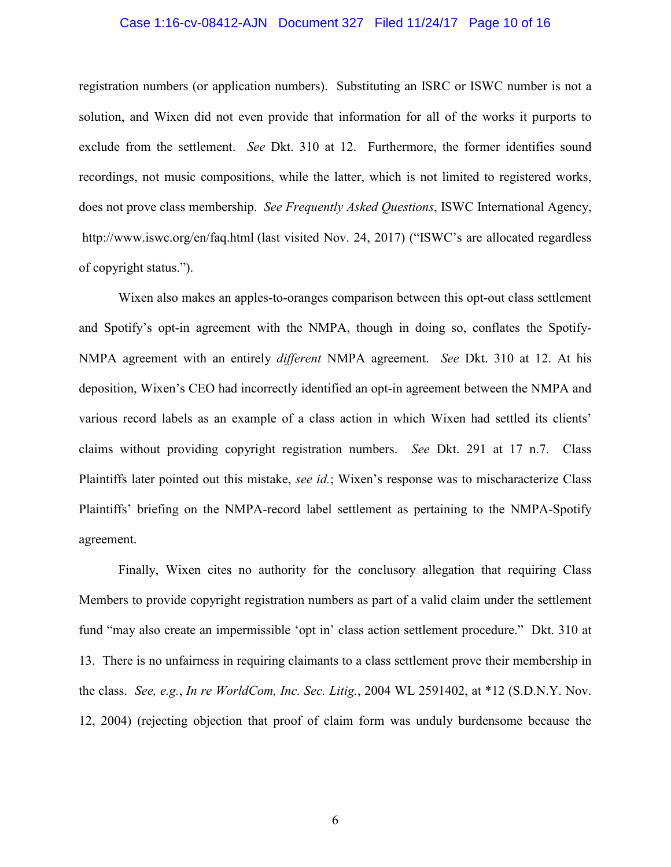#### Case 1:16-cv-08412-AJN Document 327 Filed 11/24/17 Page 10 of 16

registration numbers (or application numbers). Substituting an ISRC or ISWC number is not a solution, and Wixen did not even provide that information for all of the works it purports to exclude from the settlement. *See* Dkt. 310 at 12. Furthermore, the former identifies sound recordings, not music compositions, while the latter, which is not limited to registered works, does not prove class membership. *See Frequently Asked Questions*, ISWC International Agency, http://www.iswc.org/en/faq.html (last visited Nov. 24, 2017) ("ISWC's are allocated regardless of copyright status.").

Wixen also makes an apples-to-oranges comparison between this opt-out class settlement and Spotify's opt-in agreement with the NMPA, though in doing so, conflates the Spotify-NMPA agreement with an entirely *different* NMPA agreement. *See* Dkt. 310 at 12. At his deposition, Wixen's CEO had incorrectly identified an opt-in agreement between the NMPA and various record labels as an example of a class action in which Wixen had settled its clients' claims without providing copyright registration numbers. *See* Dkt. 291 at 17 n.7. Class Plaintiffs later pointed out this mistake, *see id.*; Wixen's response was to mischaracterize Class Plaintiffs' briefing on the NMPA-record label settlement as pertaining to the NMPA-Spotify agreement.

Finally, Wixen cites no authority for the conclusory allegation that requiring Class Members to provide copyright registration numbers as part of a valid claim under the settlement fund "may also create an impermissible 'opt in' class action settlement procedure." Dkt. 310 at 13. There is no unfairness in requiring claimants to a class settlement prove their membership in the class. *See, e.g.*, *In re WorldCom, Inc. Sec. Litig.*, 2004 WL 2591402, at \*12 (S.D.N.Y. Nov. 12, 2004) (rejecting objection that proof of claim form was unduly burdensome because the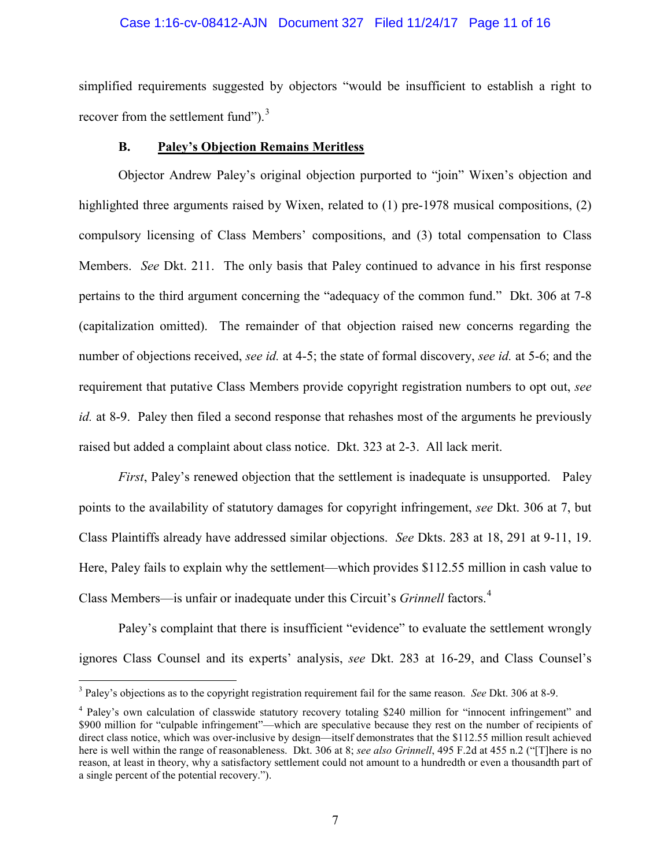### Case 1:16-cv-08412-AJN Document 327 Filed 11/24/17 Page 11 of 16

simplified requirements suggested by objectors "would be insufficient to establish a right to recover from the settlement fund"). $3$ 

#### **B. Paley's Objection Remains Meritless**

Objector Andrew Paley's original objection purported to "join" Wixen's objection and highlighted three arguments raised by Wixen, related to (1) pre-1978 musical compositions, (2) compulsory licensing of Class Members' compositions, and (3) total compensation to Class Members. *See* Dkt. 211. The only basis that Paley continued to advance in his first response pertains to the third argument concerning the "adequacy of the common fund." Dkt. 306 at 7-8 (capitalization omitted). The remainder of that objection raised new concerns regarding the number of objections received, *see id.* at 4-5; the state of formal discovery, *see id.* at 5-6; and the requirement that putative Class Members provide copyright registration numbers to opt out, *see id.* at 8-9. Paley then filed a second response that rehashes most of the arguments he previously raised but added a complaint about class notice. Dkt. 323 at 2-3. All lack merit.

*First*, Paley's renewed objection that the settlement is inadequate is unsupported. Paley points to the availability of statutory damages for copyright infringement, *see* Dkt. 306 at 7, but Class Plaintiffs already have addressed similar objections. *See* Dkts. 283 at 18, 291 at 9-11, 19. Here, Paley fails to explain why the settlement—which provides \$112.55 million in cash value to Class Members—is unfair or inadequate under this Circuit's *Grinnell* factors.<sup>[4](#page-10-1)</sup>

Paley's complaint that there is insufficient "evidence" to evaluate the settlement wrongly ignores Class Counsel and its experts' analysis, *see* Dkt. 283 at 16-29, and Class Counsel's

<span id="page-10-0"></span><sup>3</sup> Paley's objections as to the copyright registration requirement fail for the same reason. *See* Dkt. 306 at 8-9.

<span id="page-10-1"></span><sup>4</sup> Paley's own calculation of classwide statutory recovery totaling \$240 million for "innocent infringement" and \$900 million for "culpable infringement"—which are speculative because they rest on the number of recipients of direct class notice, which was over-inclusive by design—itself demonstrates that the \$112.55 million result achieved here is well within the range of reasonableness. Dkt. 306 at 8; *see also Grinnell*, 495 F.2d at 455 n.2 ("[T]here is no reason, at least in theory, why a satisfactory settlement could not amount to a hundredth or even a thousandth part of a single percent of the potential recovery.").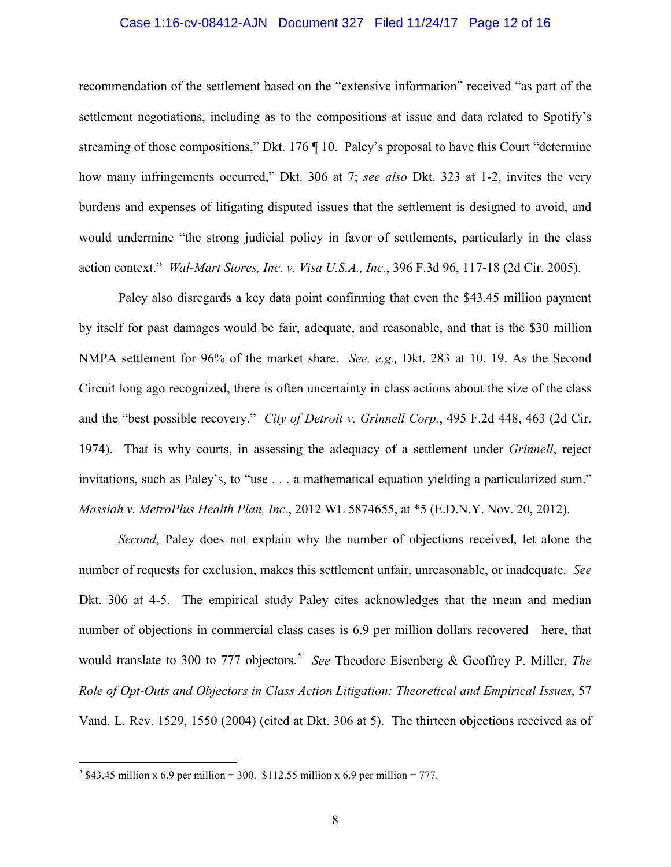#### Case 1:16-cv-08412-AJN Document 327 Filed 11/24/17 Page 12 of 16

recommendation of the settlement based on the "extensive information" received "as part of the settlement negotiations, including as to the compositions at issue and data related to Spotify's streaming of those compositions," Dkt. 176 ¶ 10. Paley's proposal to have this Court "determine how many infringements occurred," Dkt. 306 at 7; *see also* Dkt. 323 at 1-2, invites the very burdens and expenses of litigating disputed issues that the settlement is designed to avoid, and would undermine "the strong judicial policy in favor of settlements, particularly in the class action context." *Wal-Mart Stores, Inc. v. Visa U.S.A., Inc.*, 396 F.3d 96, 117-18 (2d Cir. 2005).

Paley also disregards a key data point confirming that even the \$43.45 million payment by itself for past damages would be fair, adequate, and reasonable, and that is the \$30 million NMPA settlement for 96% of the market share. *See, e.g.,* Dkt. 283 at 10, 19. As the Second Circuit long ago recognized, there is often uncertainty in class actions about the size of the class and the "best possible recovery." *City of Detroit v. Grinnell Corp.*, 495 F.2d 448, 463 (2d Cir. 1974). That is why courts, in assessing the adequacy of a settlement under *Grinnell*, reject invitations, such as Paley's, to "use . . . a mathematical equation yielding a particularized sum." *Massiah v. MetroPlus Health Plan, Inc.*, 2012 WL 5874655, at \*5 (E.D.N.Y. Nov. 20, 2012).

*Second*, Paley does not explain why the number of objections received, let alone the number of requests for exclusion, makes this settlement unfair, unreasonable, or inadequate. *See*  Dkt. 306 at 4-5. The empirical study Paley cites acknowledges that the mean and median number of objections in commercial class cases is 6.9 per million dollars recovered—here, that would translate to 300 to 777 objectors.<sup>[5](#page-11-0)</sup> See Theodore Eisenberg & Geoffrey P. Miller, *The Role of Opt-Outs and Objectors in Class Action Litigation: Theoretical and Empirical Issues*, 57 Vand. L. Rev. 1529, 1550 (2004) (cited at Dkt. 306 at 5). The thirteen objections received as of

<span id="page-11-0"></span> $5 \text{ $43.45}$  million x 6.9 per million = 300. \$112.55 million x 6.9 per million = 777.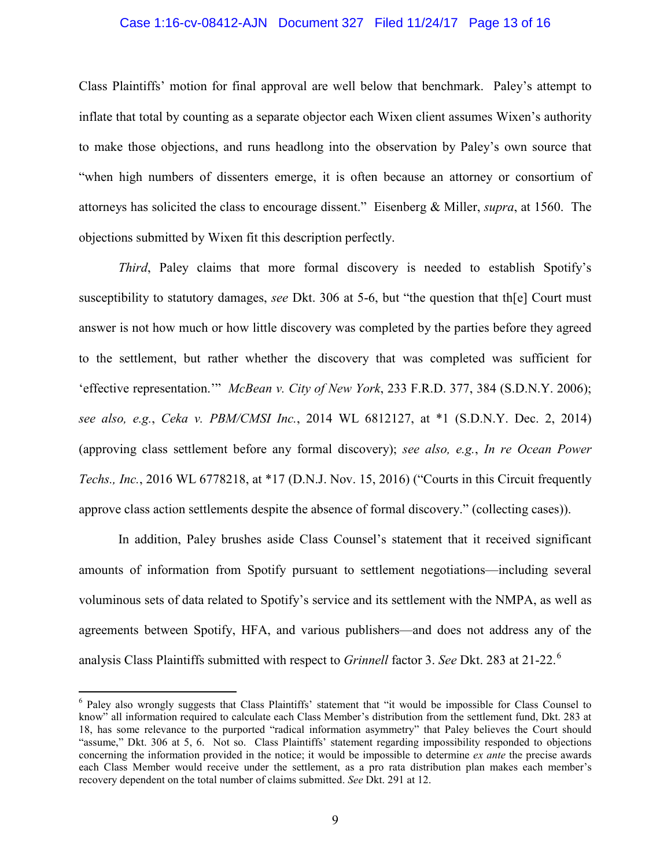### Case 1:16-cv-08412-AJN Document 327 Filed 11/24/17 Page 13 of 16

Class Plaintiffs' motion for final approval are well below that benchmark. Paley's attempt to inflate that total by counting as a separate objector each Wixen client assumes Wixen's authority to make those objections, and runs headlong into the observation by Paley's own source that "when high numbers of dissenters emerge, it is often because an attorney or consortium of attorneys has solicited the class to encourage dissent." Eisenberg & Miller, *supra*, at 1560. The objections submitted by Wixen fit this description perfectly.

*Third*, Paley claims that more formal discovery is needed to establish Spotify's susceptibility to statutory damages, *see* Dkt. 306 at 5-6, but "the question that th[e] Court must answer is not how much or how little discovery was completed by the parties before they agreed to the settlement, but rather whether the discovery that was completed was sufficient for 'effective representation.'" *McBean v. City of New York*, 233 F.R.D. 377, 384 (S.D.N.Y. 2006); *see also, e.g.*, *Ceka v. PBM/CMSI Inc.*, 2014 WL 6812127, at \*1 (S.D.N.Y. Dec. 2, 2014) (approving class settlement before any formal discovery); *see also, e.g.*, *In re Ocean Power Techs., Inc.*, 2016 WL 6778218, at \*17 (D.N.J. Nov. 15, 2016) ("Courts in this Circuit frequently approve class action settlements despite the absence of formal discovery." (collecting cases)).

In addition, Paley brushes aside Class Counsel's statement that it received significant amounts of information from Spotify pursuant to settlement negotiations—including several voluminous sets of data related to Spotify's service and its settlement with the NMPA, as well as agreements between Spotify, HFA, and various publishers—and does not address any of the analysis Class Plaintiffs submitted with respect to *Grinnell* factor 3. *See* Dkt. 283 at 21-22.<sup>[6](#page-12-0)</sup>

<span id="page-12-0"></span><sup>6</sup> Paley also wrongly suggests that Class Plaintiffs' statement that "it would be impossible for Class Counsel to know" all information required to calculate each Class Member's distribution from the settlement fund, Dkt. 283 at 18, has some relevance to the purported "radical information asymmetry" that Paley believes the Court should "assume," Dkt. 306 at 5, 6. Not so. Class Plaintiffs' statement regarding impossibility responded to objections concerning the information provided in the notice; it would be impossible to determine *ex ante* the precise awards each Class Member would receive under the settlement, as a pro rata distribution plan makes each member's recovery dependent on the total number of claims submitted. *See* Dkt. 291 at 12.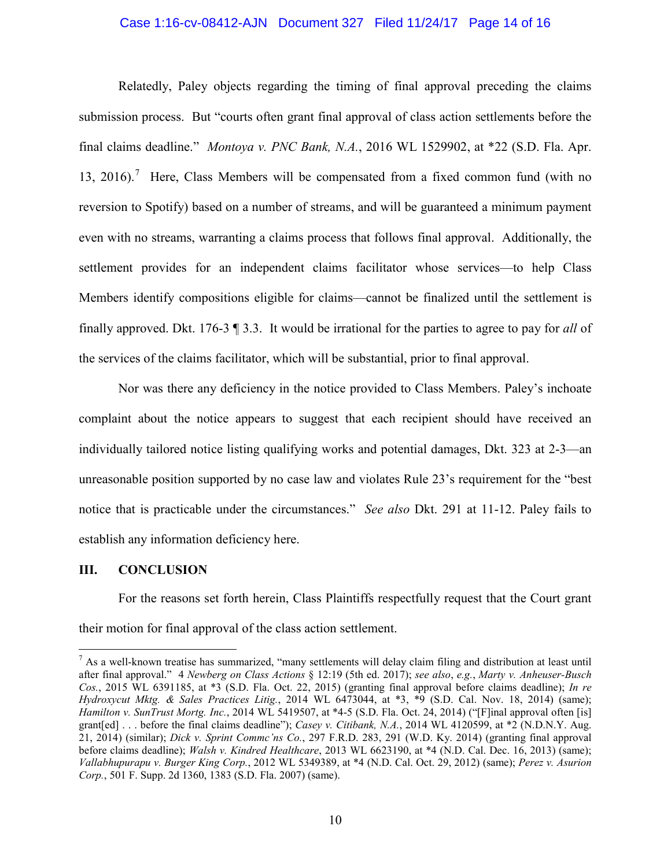#### Case 1:16-cv-08412-AJN Document 327 Filed 11/24/17 Page 14 of 16

Relatedly, Paley objects regarding the timing of final approval preceding the claims submission process. But "courts often grant final approval of class action settlements before the final claims deadline." *Montoya v. PNC Bank, N.A.*, 2016 WL 1529902, at \*22 (S.D. Fla. Apr. 13, 2016).<sup>[7](#page-13-0)</sup> Here, Class Members will be compensated from a fixed common fund (with no reversion to Spotify) based on a number of streams, and will be guaranteed a minimum payment even with no streams, warranting a claims process that follows final approval. Additionally, the settlement provides for an independent claims facilitator whose services—to help Class Members identify compositions eligible for claims—cannot be finalized until the settlement is finally approved. Dkt. 176-3 ¶ 3.3. It would be irrational for the parties to agree to pay for *all* of the services of the claims facilitator, which will be substantial, prior to final approval.

Nor was there any deficiency in the notice provided to Class Members. Paley's inchoate complaint about the notice appears to suggest that each recipient should have received an individually tailored notice listing qualifying works and potential damages, Dkt. 323 at 2-3—an unreasonable position supported by no case law and violates Rule 23's requirement for the "best notice that is practicable under the circumstances." *See also* Dkt. 291 at 11-12. Paley fails to establish any information deficiency here.

#### **III. CONCLUSION**

 $\overline{a}$ 

For the reasons set forth herein, Class Plaintiffs respectfully request that the Court grant their motion for final approval of the class action settlement.

<span id="page-13-0"></span> $<sup>7</sup>$  As a well-known treatise has summarized, "many settlements will delay claim filing and distribution at least until</sup> after final approval." 4 *Newberg on Class Actions* § 12:19 (5th ed. 2017); *see also*, *e.g.*, *Marty v. Anheuser-Busch Cos.*, 2015 WL 6391185, at \*3 (S.D. Fla. Oct. 22, 2015) (granting final approval before claims deadline); *In re Hydroxycut Mktg. & Sales Practices Litig.*, 2014 WL 6473044, at \*3, \*9 (S.D. Cal. Nov. 18, 2014) (same); *Hamilton v. SunTrust Mortg. Inc.*, 2014 WL 5419507, at \*4-5 (S.D. Fla. Oct. 24, 2014) ("[F]inal approval often [is] grant[ed] . . . before the final claims deadline"); *Casey v. Citibank, N.A.*, 2014 WL 4120599, at \*2 (N.D.N.Y. Aug. 21, 2014) (similar); *Dick v. Sprint Commc'ns Co.*, 297 F.R.D. 283, 291 (W.D. Ky. 2014) (granting final approval before claims deadline); *Walsh v. Kindred Healthcare*, 2013 WL 6623190, at \*4 (N.D. Cal. Dec. 16, 2013) (same); *Vallabhupurapu v. Burger King Corp.*, 2012 WL 5349389, at \*4 (N.D. Cal. Oct. 29, 2012) (same); *Perez v. Asurion Corp.*, 501 F. Supp. 2d 1360, 1383 (S.D. Fla. 2007) (same).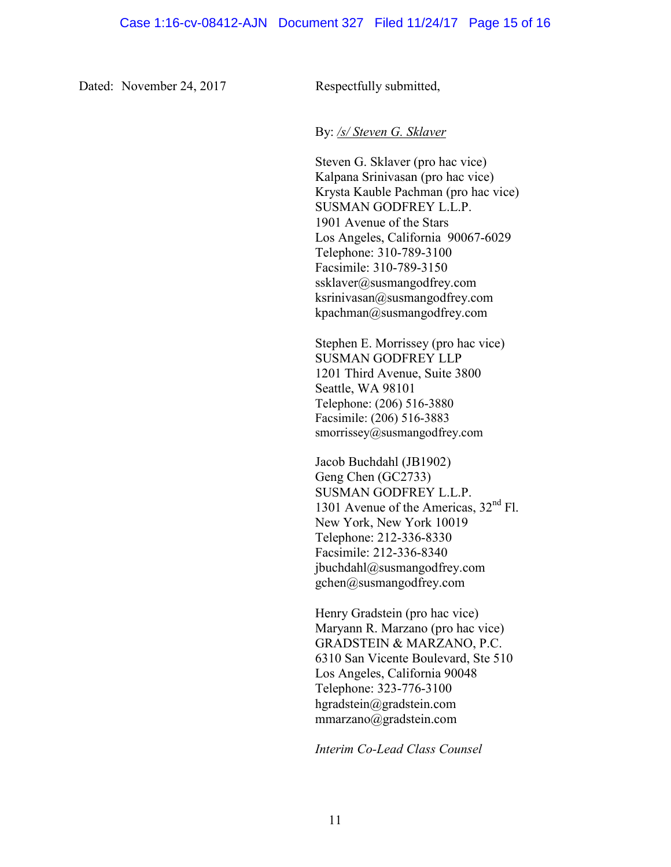Dated: November 24, 2017 Respectfully submitted,

By: */s/ Steven G. Sklaver*

Steven G. Sklaver (pro hac vice) Kalpana Srinivasan (pro hac vice) Krysta Kauble Pachman (pro hac vice) SUSMAN GODFREY L.L.P. 1901 Avenue of the Stars Los Angeles, California 90067-6029 Telephone: 310-789-3100 Facsimile: 310-789-3150 ssklaver@susmangodfrey.com ksrinivasan@susmangodfrey.com kpachman@susmangodfrey.com

Stephen E. Morrissey (pro hac vice) SUSMAN GODFREY LLP 1201 Third Avenue, Suite 3800 Seattle, WA 98101 Telephone: (206) 516-3880 Facsimile: (206) 516-3883 smorrissey@susmangodfrey.com

Jacob Buchdahl (JB1902) Geng Chen (GC2733) SUSMAN GODFREY L.L.P. 1301 Avenue of the Americas,  $32<sup>nd</sup>$  Fl. New York, New York 10019 Telephone: 212-336-8330 Facsimile: 212-336-8340 jbuchdahl@susmangodfrey.com gchen@susmangodfrey.com

Henry Gradstein (pro hac vice) Maryann R. Marzano (pro hac vice) GRADSTEIN & MARZANO, P.C. 6310 San Vicente Boulevard, Ste 510 Los Angeles, California 90048 Telephone: 323-776-3100 hgradstein@gradstein.com mmarzano@gradstein.com

*Interim Co-Lead Class Counsel*